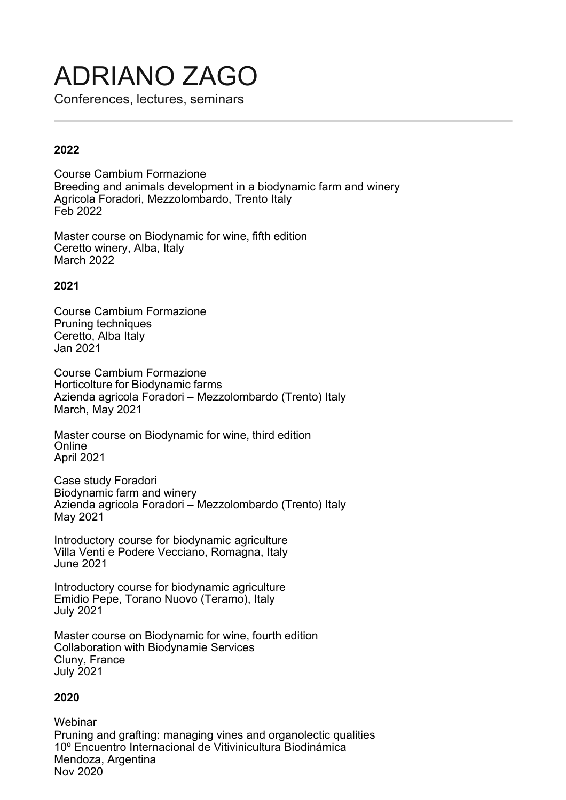# ADRIANO ZAGO

Conferences, lectures, seminars

# **2022**

Course Cambium Formazione Breeding and animals development in a biodynamic farm and winery Agricola Foradori, Mezzolombardo, Trento Italy Feb 2022

Master course on Biodynamic for wine, fifth edition Ceretto winery, Alba, Italy March 2022

## **2021**

Course Cambium Formazione Pruning techniques Ceretto, Alba Italy Jan 2021

Course Cambium Formazione Horticolture for Biodynamic farms Azienda agricola Foradori – Mezzolombardo (Trento) Italy March, May 2021

Master course on Biodynamic for wine, third edition **Online** April 2021

Case study Foradori Biodynamic farm and winery Azienda agricola Foradori – Mezzolombardo (Trento) Italy May 2021

Introductory course for biodynamic agriculture Villa Venti e Podere Vecciano, Romagna, Italy June 2021

Introductory course for biodynamic agriculture Emidio Pepe, Torano Nuovo (Teramo), Italy July 2021

Master course on Biodynamic for wine, fourth edition Collaboration with Biodynamie Services Cluny, France July 2021

## **2020**

**Webinar** Pruning and grafting: managing vines and organolectic qualities 10º Encuentro Internacional de Vitivinicultura Biodinámica Mendoza, Argentina Nov 2020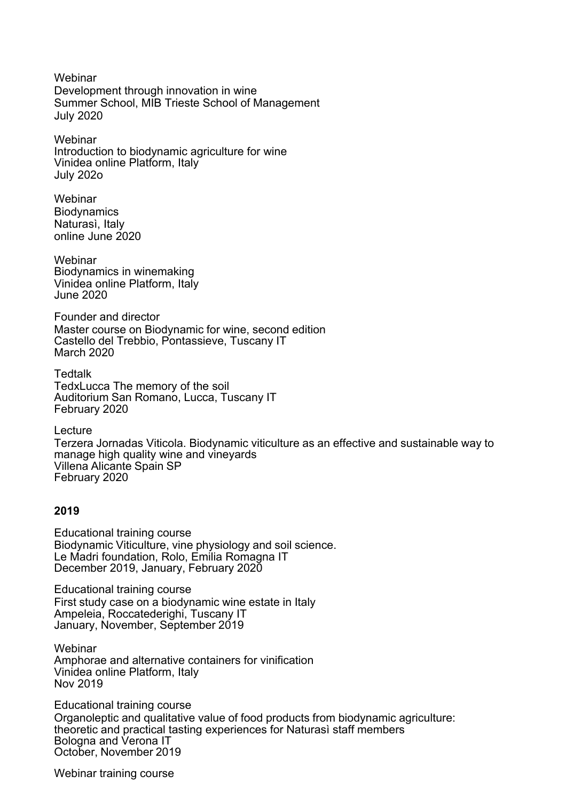Webinar Development through innovation in wine Summer School, MIB Trieste School of Management July 2020

**Webinar** Introduction to biodynamic agriculture for wine Vinidea online Platform, Italy July 202o

**Webinar Biodynamics** Naturasì, Italy online June 2020

Webinar Biodynamics in winemaking Vinidea online Platform, Italy June 2020

Founder and director Master course on Biodynamic for wine, second edition Castello del Trebbio, Pontassieve, Tuscany IT March 2020

**Tedtalk** TedxLucca The memory of the soil Auditorium San Romano, Lucca, Tuscany IT February 2020

Lecture Terzera Jornadas Viticola. Biodynamic viticulture as an effective and sustainable way to manage high quality wine and vineyards Villena Alicante Spain SP February 2020

## **2019**

Educational training course Biodynamic Viticulture, vine physiology and soil science. Le Madri foundation, Rolo, Emilia Romagna IT December 2019, January, February 2020

Educational training course First study case on a biodynamic wine estate in Italy Ampeleia, Roccatederighi, Tuscany IT January, November, September 2019

Webinar Amphorae and alternative containers for vinification Vinidea online Platform, Italy Nov 2019

Educational training course Organoleptic and qualitative value of food products from biodynamic agriculture: theoretic and practical tasting experiences for Naturasì staff members Bologna and Verona IT October, November 2019

Webinar training course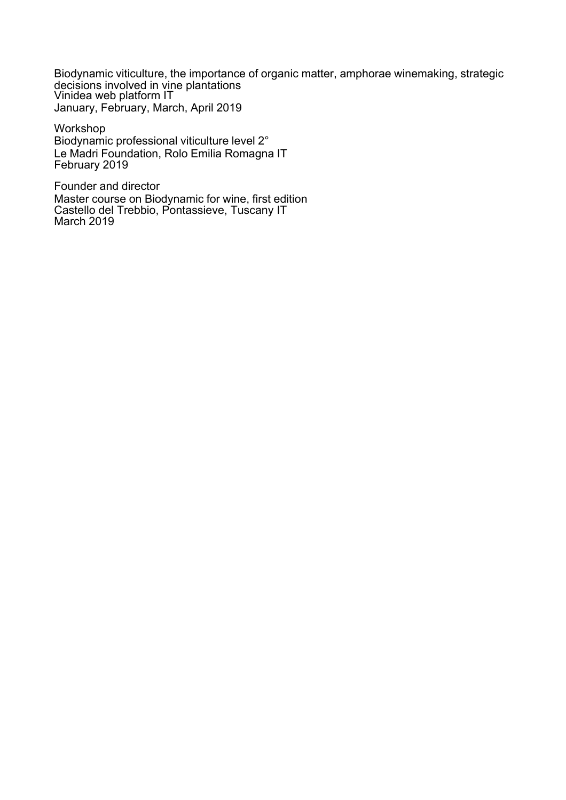Biodynamic viticulture, the importance of organic matter, amphorae winemaking, strategic decisions involved in vine plantations<br>Vinidea web platform IT January, February, March, April 2019

Workshop Biodynamic professional viticulture level 2° Le Madri Foundation, Rolo Emilia Romagna IT February 2019

Founder and director Master course on Biodynamic for wine, first edition Castello del Trebbio, Pontassieve, Tuscany IT March 2019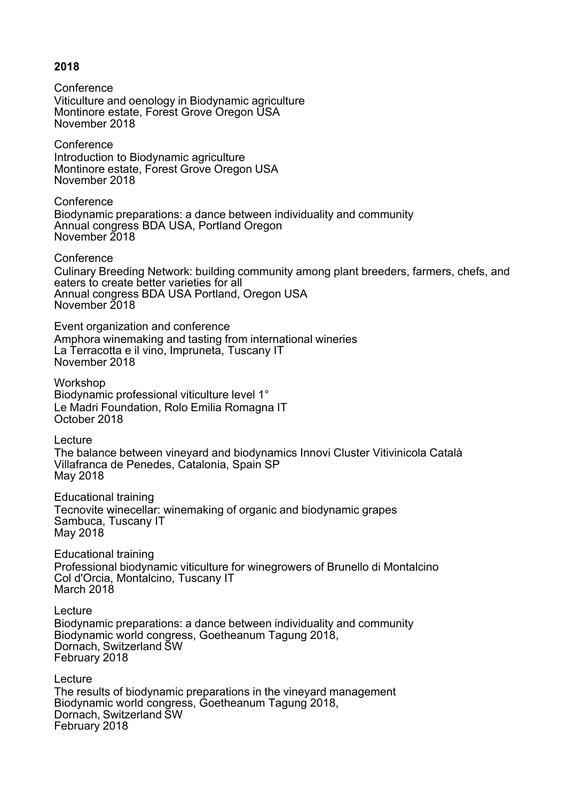## **2018**

**Conference** Viticulture and oenology in Biodynamic agriculture Montinore estate, Forest Grove Oregon USA November 2018 **Conference** Introduction to Biodynamic agriculture Montinore estate, Forest Grove Oregon USA November 2018 **Conference** Biodynamic preparations: a dance between individuality and community Annual congress BDA USA, Portland Oregon November 2018 **Conference** Culinary Breeding Network: building community among plant breeders, farmers, chefs, and eaters to create better varieties for all Annual congress BDA USA Portland, Oregon USA November 2018 Event organization and conference Amphora winemaking and tasting from international wineries La Terracotta e il vino, Impruneta, Tuscany IT November 2018 Workshop Biodynamic professional viticulture level 1° Le Madri Foundation, Rolo Emilia Romagna IT October 2018 Lecture The balance between vineyard and biodynamics Innovi Cluster Vitivinicola Català Villafranca de Penedes, Catalonia, Spain SP May 2018 Educational training Tecnovite winecellar: winemaking of organic and biodynamic grapes Sambuca, Tuscany IT May 2018 Educational training Professional biodynamic viticulture for winegrowers of Brunello di Montalcino Col d'Orcia, Montalcino, Tuscany IT March 2018 Lecture Biodynamic preparations: a dance between individuality and community Biodynamic world congress, Goetheanum Tagung 2018, Dornach, Switzerland SW February 2018 Lecture The results of biodynamic preparations in the vineyard management Biodynamic world congress, Goetheanum Tagung 2018, Dornach, Switzerland SW February 2018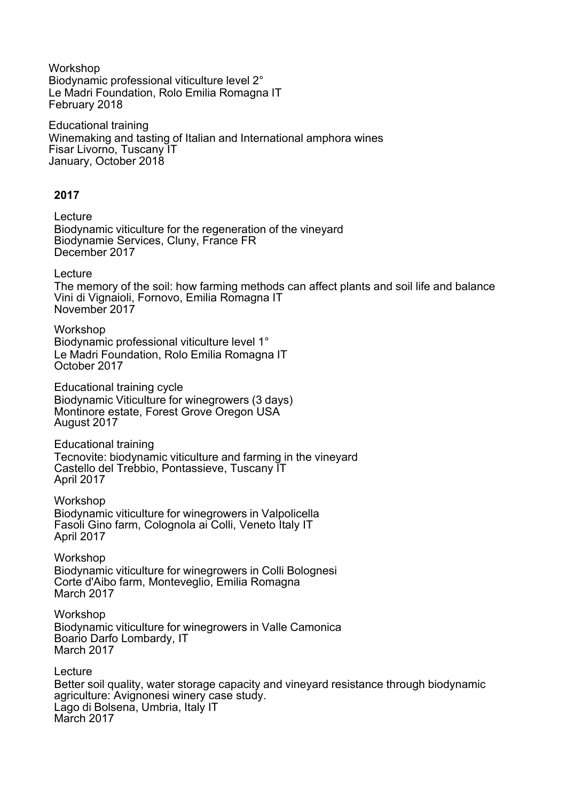Workshop Biodynamic professional viticulture level 2° Le Madri Foundation, Rolo Emilia Romagna IT February 2018

Educational training Winemaking and tasting of Italian and International amphora wines Fisar Livorno, Tuscany IT January, October 2018

#### **2017**

Lecture Biodynamic viticulture for the regeneration of the vineyard Biodynamie Services, Cluny, France FR December 2017

**Lecture** 

The memory of the soil: how farming methods can affect plants and soil life and balance Vini di Vignaioli, Fornovo, Emilia Romagna IT November 2017

Workshop Biodynamic professional viticulture level 1° Le Madri Foundation, Rolo Emilia Romagna IT October 2017

Educational training cycle Biodynamic Viticulture for winegrowers (3 days) Montinore estate, Forest Grove Oregon USA August 2017

Educational training Tecnovite: biodynamic viticulture and farming in the vineyard Castello del Trebbio, Pontassieve, Tuscany IT April 2017

Workshop Biodynamic viticulture for winegrowers in Valpolicella Fasoli Gino farm, Colognola ai Colli, Veneto Italy IT April 2017

Workshop Biodynamic viticulture for winegrowers in Colli Bolognesi Corte d'Aibo farm, Monteveglio, Emilia Romagna March 2017

Workshop Biodynamic viticulture for winegrowers in Valle Camonica Boario Darfo Lombardy, IT March 2017

Lecture Better soil quality, water storage capacity and vineyard resistance through biodynamic agriculture: Avignonesi winery case study. Lago di Bolsena, Umbria, Italy IT March 2017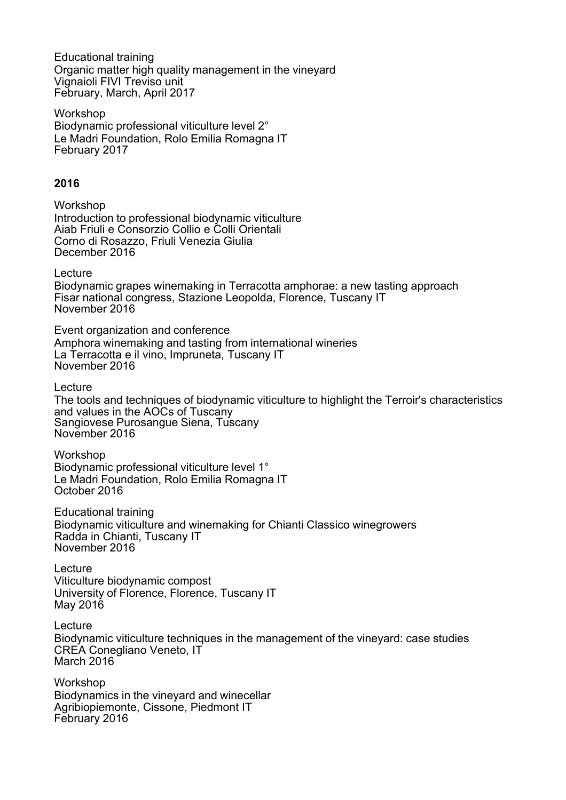Educational training Organic matter high quality management in the vineyard Vignaioli FIVI Treviso unit February, March, April 2017

Workshop Biodynamic professional viticulture level 2° Le Madri Foundation, Rolo Emilia Romagna IT February 2017

#### **2016**

Workshop Introduction to professional biodynamic viticulture Aiab Friuli e Consorzio Collio e Colli Orientali Corno di Rosazzo, Friuli Venezia Giulia December 2016

Lecture

Biodynamic grapes winemaking in Terracotta amphorae: a new tasting approach Fisar national congress, Stazione Leopolda, Florence, Tuscany IT November 2016

Event organization and conference Amphora winemaking and tasting from international wineries La Terracotta e il vino, Impruneta, Tuscany IT November 2016

Lecture

The tools and techniques of biodynamic viticulture to highlight the Terroir's characteristics and values in the AOCs of Tuscany Sangiovese Purosangue Siena, Tuscany November 2016

Workshop Biodynamic professional viticulture level 1° Le Madri Foundation, Rolo Emilia Romagna IT October 2016

Educational training Biodynamic viticulture and winemaking for Chianti Classico winegrowers Radda in Chianti, Tuscany IT November 2016

Lecture Viticulture biodynamic compost University of Florence, Florence, Tuscany IT May 2016

Lecture Biodynamic viticulture techniques in the management of the vineyard: case studies CREA Conegliano Veneto, IT March 2016

Workshop Biodynamics in the vineyard and winecellar Agribiopiemonte, Cissone, Piedmont IT February 2016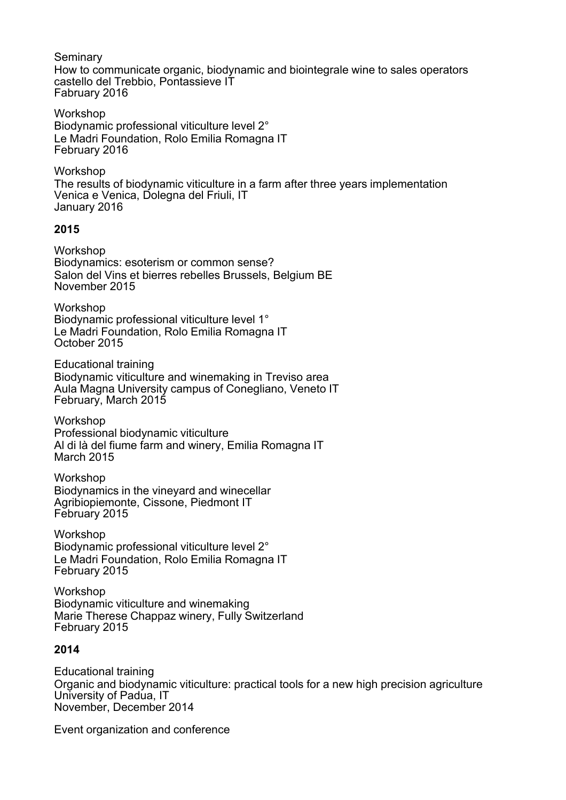Seminary How to communicate organic, biodynamic and biointegrale wine to sales operators castello del Trebbio, Pontassieve IT Fabruary 2016 Workshop Biodynamic professional viticulture level 2° Le Madri Foundation, Rolo Emilia Romagna IT February 2016 Workshop The results of biodynamic viticulture in a farm after three years implementation Venica e Venica, Dolegna del Friuli, IT January 2016 **2015** Workshop Biodynamics: esoterism or common sense? Salon del Vins et bierres rebelles Brussels, Belgium BE November 2015 Workshop Biodynamic professional viticulture level 1° Le Madri Foundation, Rolo Emilia Romagna IT October 2015 Educational training Biodynamic viticulture and winemaking in Treviso area Aula Magna University campus of Conegliano, Veneto IT February, March 2015 Workshop Professional biodynamic viticulture Al di là del fiume farm and winery, Emilia Romagna IT March 2015 Workshop Biodynamics in the vineyard and winecellar Agribiopiemonte, Cissone, Piedmont IT February 2015 Workshop Biodynamic professional viticulture level 2° Le Madri Foundation, Rolo Emilia Romagna IT February 2015 Workshop Biodynamic viticulture and winemaking Marie Therese Chappaz winery, Fully Switzerland February 2015 **2014** Educational training Organic and biodynamic viticulture: practical tools for a new high precision agriculture University of Padua, IT November, December 2014

Event organization and conference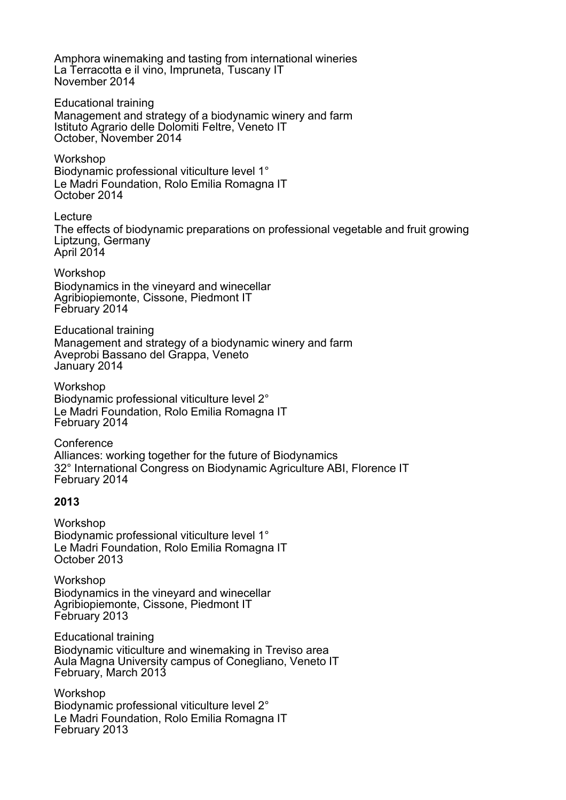Amphora winemaking and tasting from international wineries La Terracotta e il vino, Impruneta, Tuscany IT November 2014

Educational training Management and strategy of a biodynamic winery and farm Istituto Agrario delle Dolomiti Feltre, Veneto IT October, November 2014

Workshop Biodynamic professional viticulture level 1° Le Madri Foundation, Rolo Emilia Romagna IT October 2014

Lecture The effects of biodynamic preparations on professional vegetable and fruit growing Liptzung, Germany April 2014

Workshop Biodynamics in the vineyard and winecellar Agribiopiemonte, Cissone, Piedmont IT February 2014

Educational training Management and strategy of a biodynamic winery and farm Aveprobi Bassano del Grappa, Veneto January 2014

Workshop Biodynamic professional viticulture level 2° Le Madri Foundation, Rolo Emilia Romagna IT February 2014

**Conference** Alliances: working together for the future of Biodynamics 32° International Congress on Biodynamic Agriculture ABI, Florence IT February 2014

## **2013**

Workshop Biodynamic professional viticulture level 1° Le Madri Foundation, Rolo Emilia Romagna IT October 2013

**Workshop** Biodynamics in the vineyard and winecellar Agribiopiemonte, Cissone, Piedmont IT February 2013

Educational training Biodynamic viticulture and winemaking in Treviso area Aula Magna University campus of Conegliano, Veneto IT February, March 2013

Workshop Biodynamic professional viticulture level 2° Le Madri Foundation, Rolo Emilia Romagna IT February 2013